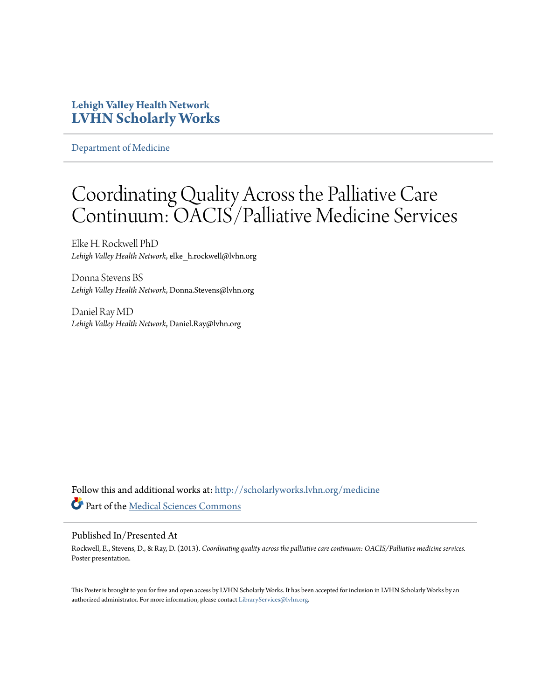#### **Lehigh Valley Health Network [LVHN Scholarly Works](http://scholarlyworks.lvhn.org?utm_source=scholarlyworks.lvhn.org%2Fmedicine%2F361&utm_medium=PDF&utm_campaign=PDFCoverPages)**

[Department of Medicine](http://scholarlyworks.lvhn.org/medicine?utm_source=scholarlyworks.lvhn.org%2Fmedicine%2F361&utm_medium=PDF&utm_campaign=PDFCoverPages)

#### Coordinating Quality Across the Palliative Care Continuum: OACIS/Palliative Medicine Services

Elke H. Rockwell PhD *Lehigh Valley Health Network*, elke\_h.rockwell@lvhn.org

Donna Stevens BS *Lehigh Valley Health Network*, Donna.Stevens@lvhn.org

Daniel Ray MD *Lehigh Valley Health Network*, Daniel.Ray@lvhn.org

Follow this and additional works at: [http://scholarlyworks.lvhn.org/medicine](http://scholarlyworks.lvhn.org/medicine?utm_source=scholarlyworks.lvhn.org%2Fmedicine%2F361&utm_medium=PDF&utm_campaign=PDFCoverPages) Part of the [Medical Sciences Commons](http://network.bepress.com/hgg/discipline/664?utm_source=scholarlyworks.lvhn.org%2Fmedicine%2F361&utm_medium=PDF&utm_campaign=PDFCoverPages)

#### Published In/Presented At

Rockwell, E., Stevens, D., & Ray, D. (2013). *Coordinating quality across the palliative care continuum: OACIS/Palliative medicine services.* Poster presentation.

This Poster is brought to you for free and open access by LVHN Scholarly Works. It has been accepted for inclusion in LVHN Scholarly Works by an authorized administrator. For more information, please contact [LibraryServices@lvhn.org.](mailto:LibraryServices@lvhn.org)